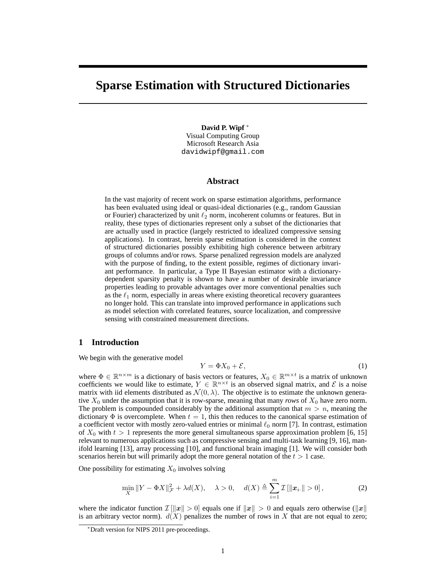# **Sparse Estimation with Structured Dictionaries**

**David P. Wipf** <sup>∗</sup> Visual Computing Group Microsoft Research Asia davidwipf@gmail.com

## **Abstract**

In the vast majority of recent work on sparse estimation algorithms, performance has been evaluated using ideal or quasi-ideal dictionaries (e.g., random Gaussian or Fourier) characterized by unit  $\ell_2$  norm, incoherent columns or features. But in reality, these types of dictionaries represent only a subset of the dictionaries that are actually used in practice (largely restricted to idealized compressive sensing applications). In contrast, herein sparse estimation is considered in the context of structured dictionaries possibly exhibiting high coherence between arbitrary groups of columns and/or rows. Sparse penalized regression models are analyzed with the purpose of finding, to the extent possible, regimes of dictionary invariant performance. In particular, a Type II Bayesian estimator with a dictionarydependent sparsity penalty is shown to have a number of desirable invariance properties leading to provable advantages over more conventional penalties such as the  $\ell_1$  norm, especially in areas where existing theoretical recovery guarantees no longer hold. This can translate into improved performance in applications such as model selection with correlated features, source localization, and compressive sensing with constrained measurement directions.

# **1 Introduction**

We begin with the generative model

$$
Y = \Phi X_0 + \mathcal{E},\tag{1}
$$

where  $\Phi \in \mathbb{R}^{n \times m}$  is a dictionary of basis vectors or features,  $X_0 \in \mathbb{R}^{m \times t}$  is a matrix of unknown coefficients we would like to estimate,  $Y \in \mathbb{R}^{n \times t}$  is an observed signal matrix, and  $\mathcal{E}$  is a noise matrix with iid elements distributed as  $\mathcal{N}(0, \lambda)$ . The objective is to estimate the unknown generative  $X_0$  under the assumption that it is row-sparse, meaning that many *rows* of  $X_0$  have zero norm. The problem is compounded considerably by the additional assumption that  $m > n$ , meaning the dictionary  $\Phi$  is overcomplete. When  $t = 1$ , this then reduces to the canonical sparse estimation of a coefficient vector with mostly zero-valued entries or minimal  $\ell_0$  norm [7]. In contrast, estimation of  $X_0$  with  $t > 1$  represents the more general simultaneous sparse approximation problem [6, 15] relevant to numerous applications such as compressive sensing and multi-task learning [9, 16], manifold learning [13], array processing [10], and functional brain imaging [1]. We will consider both scenarios herein but will primarily adopt the more general notation of the  $t > 1$  case.

One possibility for estimating  $X_0$  involves solving

$$
\min_{X} \|Y - \Phi X\|_{\mathcal{F}}^2 + \lambda d(X), \quad \lambda > 0, \quad d(X) \triangleq \sum_{i=1}^{m} \mathcal{I}[\|\mathbf{x}_{i\cdot}\| > 0], \tag{2}
$$

where the indicator function  $\mathcal{I}[\Vert x \Vert > 0]$  equals one if  $\Vert x \Vert > 0$  and equals zero otherwise  $(\Vert x \Vert)$ is an arbitrary vector norm).  $d(X)$  penalizes the number of rows in X that are not equal to zero;

<sup>∗</sup>Draft version for NIPS 2011 pre-proceedings.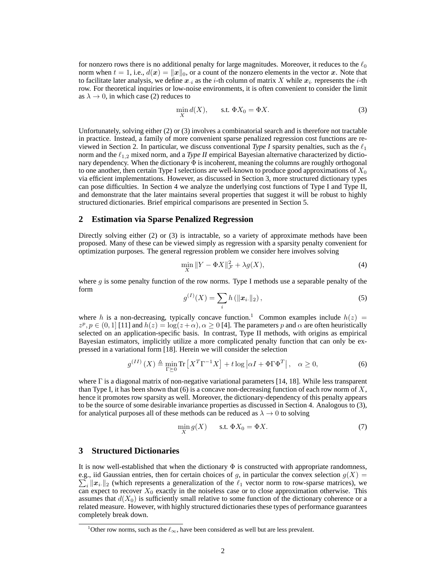for nonzero rows there is no additional penalty for large magnitudes. Moreover, it reduces to the  $\ell_0$ norm when  $t = 1$ , i.e.,  $d(x) = ||x||_0$ , or a count of the nonzero elements in the vector x. Note that to facilitate later analysis, we define  $x_i$  as the *i*-th column of matrix X while  $x_i$  represents the *i*-th row. For theoretical inquiries or low-noise environments, it is often convenient to consider the limit as  $\lambda \to 0$ , in which case (2) reduces to

$$
\min_{X} d(X), \qquad \text{s.t. } \Phi X_0 = \Phi X. \tag{3}
$$

Unfortunately, solving either (2) or (3) involves a combinatorial search and is therefore not tractable in practice. Instead, a family of more convenient sparse penalized regression cost functions are reviewed in Section 2. In particular, we discuss conventional *Type I* sparsity penalties, such as the  $\ell_1$ norm and the  $\ell_{1,2}$  mixed norm, and a *Type II* empirical Bayesian alternative characterized by dictionary dependency. When the dictionary  $\Phi$  is incoherent, meaning the columns are roughly orthogonal to one another, then certain Type I selections are well-known to produce good approximations of  $X_0$ via efficient implementations. However, as discussed in Section 3, more structured dictionary types can pose difficulties. In Section 4 we analyze the underlying cost functions of Type I and Type II, and demonstrate that the later maintains several properties that suggest it will be robust to highly structured dictionaries. Brief empirical comparisons are presented in Section 5.

# **2 Estimation via Sparse Penalized Regression**

Directly solving either (2) or (3) is intractable, so a variety of approximate methods have been proposed. Many of these can be viewed simply as regression with a sparsity penalty convenient for optimization purposes. The general regression problem we consider here involves solving

$$
\min_{X} \|Y - \Phi X\|_{\mathcal{F}}^2 + \lambda g(X),\tag{4}
$$

where g is some penalty function of the row norms. Type I methods use a separable penalty of the form

$$
g^{(I)}(X) = \sum_{i} h\left(\|\bm{x}_{i\cdot}\|_{2}\right),\tag{5}
$$

where h is a non-decreasing, typically concave function.<sup>1</sup> Common examples include  $h(z)$  =  $z^p, p \in (0, 1]$  [11] and  $h(z) = \log(z + \alpha), \alpha \ge 0$  [4]. The parameters p and  $\alpha$  are often heuristically selected on an application-specific basis. In contrast, Type II methods, with origins as empirical Bayesian estimators, implicitly utilize a more complicated penalty function that can only be expressed in a variational form [18]. Herein we will consider the selection

$$
g^{(II)}\left(X\right) \triangleq \min_{\Gamma \succeq 0} \text{Tr}\left[X^T \Gamma^{-1} X\right] + t \log\left|\alpha I + \Phi \Gamma \Phi^T\right|, \quad \alpha \ge 0,\tag{6}
$$

where Γ is a diagonal matrix of non-negative variational parameters [14, 18]. While less transparent than Type I, it has been shown that (6) is a concave non-decreasing function of each row norm of  $X$ , hence it promotes row sparsity as well. Moreover, the dictionary-dependency of this penalty appears to be the source of some desirable invariance properties as discussed in Section 4. Analogous to (3), for analytical purposes all of these methods can be reduced as  $\lambda \to 0$  to solving

$$
\min_{X} g(X) \qquad \text{s.t. } \Phi X_0 = \Phi X. \tag{7}
$$

#### **3 Structured Dictionaries**

It is now well-established that when the dictionary  $\Phi$  is constructed with appropriate randomness, e.g., iid Gaussian entries, then for certain choices of g, in particular the convex selection  $g(X)$  $\sum_{i} ||x_i||_2$  (which represents a generalization of the  $\ell_1$  vector norm to row-sparse matrices), we can expect to recover  $X_0$  exactly in the noiseless case or to close approximation otherwise. This assumes that  $d(X_0)$  is sufficiently small relative to some function of the dictionary coherence or a related measure. However, with highly structured dictionaries these types of performance guarantees completely break down.

<sup>&</sup>lt;sup>1</sup>Other row norms, such as the  $\ell_{\infty}$ , have been considered as well but are less prevalent.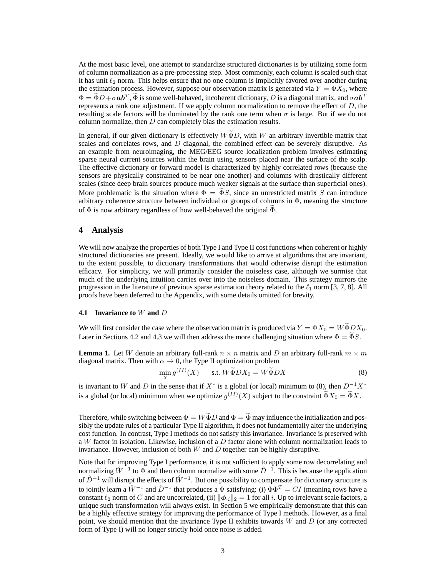At the most basic level, one attempt to standardize structured dictionaries is by utilizing some form of column normalization as a pre-processing step. Most commonly, each column is scaled such that it has unit  $\ell_2$  norm. This helps ensure that no one column is implicitly favored over another during the estimation process. However, suppose our observation matrix is generated via  $Y = \Phi X_0$ , where  $\Phi = \tilde{\Phi}D + \sigma ab^T$ ,  $\tilde{\Phi}$  is some well-behaved, incoherent dictionary, D is a diagonal matrix, and  $\sigma ab^T$ represents a rank one adjustment. If we apply column normalization to remove the effect of  $D$ , the resulting scale factors will be dominated by the rank one term when  $\sigma$  is large. But if we do not column normalize, then  $D$  can completely bias the estimation results.

In general, if our given dictionary is effectively  $W\tilde{\Phi}D$ , with W an arbitrary invertible matrix that scales and correlates rows, and  $\overline{D}$  diagonal, the combined effect can be severely disruptive. As an example from neuroimaging, the MEG/EEG source localization problem involves estimating sparse neural current sources within the brain using sensors placed near the surface of the scalp. The effective dictionary or forward model is characterized by highly correlated rows (because the sensors are physically constrained to be near one another) and columns with drastically different scales (since deep brain sources produce much weaker signals at the surface than superficial ones). More problematic is the situation where  $\Phi = \tilde{\Phi} S$ , since an unrestricted matrix S can introduce arbitrary coherence structure between individual or groups of columns in Φ, meaning the structure of  $\Phi$  is now arbitrary regardless of how well-behaved the original  $\Phi$ .

# **4 Analysis**

We will now analyze the properties of both Type I and Type II cost functions when coherent or highly structured dictionaries are present. Ideally, we would like to arrive at algorithms that are invariant, to the extent possible, to dictionary transformations that would otherwise disrupt the estimation efficacy. For simplicity, we will primarily consider the noiseless case, although we surmise that much of the underlying intuition carries over into the noiseless domain. This strategy mirrors the progression in the literature of previous sparse estimation theory related to the  $\ell_1$  norm [3, 7, 8]. All proofs have been deferred to the Appendix, with some details omitted for brevity.

#### **4.1 Invariance to** W **and** D

We will first consider the case where the observation matrix is produced via  $Y = \Phi X_0 = W \tilde{\Phi} D X_0$ . Later in Sections 4.2 and 4.3 we will then address the more challenging situation where  $\Phi = \Phi S$ .

**Lemma 1.** Let W denote an arbitrary full-rank  $n \times n$  matrix and D an arbitrary full-rank  $m \times m$ diagonal matrix. Then with  $\alpha \rightarrow 0$ , the Type II optimization problem

$$
\min_{X} g^{(II)}(X) \qquad \text{s.t. } W\widetilde{\Phi}DX_0 = W\widetilde{\Phi}DX \tag{8}
$$

is invariant to W and D in the sense that if  $X^*$  is a global (or local) minimum to (8), then  $D^{-1}X^*$ is a global (or local) minimum when we optimize  $g^{(II)}(X)$  subject to the constraint  $\tilde{\Phi}X_0 = \tilde{\Phi}X$ .

Therefore, while switching between  $\Phi = W \widetilde{\Phi} D$  and  $\Phi = \widetilde{\Phi}$  may influence the initialization and possibly the update rules of a particular Type II algorithm, it does not fundamentally alter the underlying cost function. In contrast, Type I methods do not satisfy this invariance. Invariance is preserved with a W factor in isolation. Likewise, inclusion of a D factor alone with column normalization leads to invariance. However, inclusion of both  $W$  and  $D$  together can be highly disruptive.

Note that for improving Type I performance, it is not sufficient to apply some row decorrelating and normalizing  $\hat{W}^{-1}$  to  $\Phi$  and then column normalize with some  $\hat{D}^{-1}$ . This is because the application of  $\hat{D}^{-1}$  will disrupt the effects of  $\hat{W}^{-1}$ . But one possibility to compensate for dictionary structure is to jointly learn a  $\hat{W}^{-1}$  and  $\hat{D}^{-1}$  that produces a  $\Phi$  satisfying: (i)  $\Phi \Phi^T = CI$  (meaning rows have a constant  $\ell_2$  norm of C and are uncorrelated, (ii)  $\|\phi_{i}\|_2 = 1$  for all i. Up to irrelevant scale factors, a unique such transformation will always exist. In Section 5 we empirically demonstrate that this can be a highly effective strategy for improving the performance of Type I methods. However, as a final point, we should mention that the invariance Type II exhibits towards  $W$  and  $D$  (or any corrected form of Type I) will no longer strictly hold once noise is added.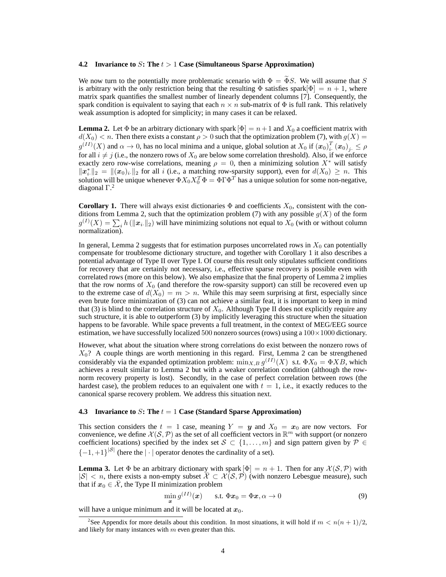#### **4.2 Invariance to** S**: The** t > 1 **Case (Simultaneous Sparse Approximation)**

We now turn to the potentially more problematic scenario with  $\Phi = \tilde{\Phi} S$ . We will assume that S is arbitrary with the only restriction being that the resulting  $\Phi$  satisfies spark $[\Phi] = n + 1$ , where matrix spark quantifies the smallest number of linearly dependent columns [7]. Consequently, the spark condition is equivalent to saying that each  $n \times n$  sub-matrix of  $\Phi$  is full rank. This relatively weak assumption is adopted for simplicity; in many cases it can be relaxed.

**Lemma 2.** Let  $\Phi$  be an arbitrary dictionary with spark  $[\Phi] = n + 1$  and  $X_0$  a coefficient matrix with  $d(X_0) < n$ . Then there exists a constant  $\rho > 0$  such that the optimization problem (7), with  $g(X) =$  $g^{(II)}(X)$  and  $\alpha \to 0$ , has no local minima and a unique, global solution at  $X_0$  if  $(\mathbf{x}_0)$ <sup>T</sup><sub>i</sub>.  $\frac{1}{i\cdot} \left(\boldsymbol{x}_0\right)_j \ \leq \rho$ for all  $i \neq j$  (i.e., the nonzero rows of  $X_0$  are below some correlation threshold). Also, if we enforce exactly zero row-wise correlations, meaning  $\rho = 0$ , then a minimizing solution  $X^*$  will satisfy  $||x_i^*||_2 = ||(x_0)_i||_2$  for all i (i.e., a matching row-sparsity support), even for  $d(X_0) \geq n$ . This solution will be unique whenever  $\Phi X_0 X_0^T \Phi = \Phi \Gamma \Phi^T$  has a unique solution for some non-negative, diagonal  $\Gamma$ .<sup>2</sup>

**Corollary 1.** There will always exist dictionaries  $\Phi$  and coefficients  $X_0$ , consistent with the conditions from Lemma 2, such that the optimization problem (7) with any possible  $g(X)$  of the form  $g^{(I)}(X) = \sum_i h(|x_i|_2)$  will have minimizing solutions not equal to  $X_0$  (with or without column normalization).

In general, Lemma 2 suggests that for estimation purposes uncorrelated rows in  $X_0$  can potentially compensate for troublesome dictionary structure, and together with Corollary 1 it also describes a potential advantage of Type II over Type I. Of course this result only stipulates sufficient conditions for recovery that are certainly not necessary, i.e., effective sparse recovery is possible even with correlated rows (more on this below). We also emphasize that the final property of Lemma 2 implies that the row norms of  $X_0$  (and therefore the row-sparsity support) can still be recovered even up to the extreme case of  $d(X_0) = m > n$ . While this may seem surprising at first, especially since even brute force minimization of (3) can not achieve a similar feat, it is important to keep in mind that (3) is blind to the correlation structure of  $X_0$ . Although Type II does not explicitly require any such structure, it is able to outperform (3) by implicitly leveraging this structure when the situation happens to be favorable. While space prevents a full treatment, in the context of MEG/EEG source estimation, we have successfully localized 500 nonzero sources (rows) using a  $100 \times 1000$  dictionary.

However, what about the situation where strong correlations do exist between the nonzero rows of  $X_0$ ? A couple things are worth mentioning in this regard. First, Lemma 2 can be strengthened considerably via the expanded optimization problem:  $\min_{X,B} g^{(II)}(X)$  s.t.  $\Phi X_0 = \Phi X B$ , which achieves a result similar to Lemma 2 but with a weaker correlation condition (although the rownorm recovery property is lost). Secondly, in the case of perfect correlation between rows (the hardest case), the problem reduces to an equivalent one with  $t = 1$ , i.e., it exactly reduces to the canonical sparse recovery problem. We address this situation next.

#### **4.3 Invariance to** S**: The** t = 1 **Case (Standard Sparse Approximation)**

This section considers the  $t = 1$  case, meaning  $Y = y$  and  $X_0 = x_0$  are now vectors. For convenience, we define  $X(S, \mathcal{P})$  as the set of all coefficient vectors in  $\mathbb{R}^m$  with support (or nonzero coefficient locations) specified by the index set  $S \subset \{1, \ldots, m\}$  and sign pattern given by  $\mathcal{P} \in$  ${-1, +1}^{|S|}$  (here the  $|\cdot|$  operator denotes the cardinality of a set).

**Lemma 3.** Let  $\Phi$  be an arbitrary dictionary with spark  $[\Phi] = n + 1$ . Then for any  $\mathcal{X}(\mathcal{S}, \mathcal{P})$  with  $|S| < n$ , there exists a non-empty subset  $\overline{X} \subset X(S, \overline{P})$  (with nonzero Lebesgue measure), such that if  $x_0 \in \overline{X}$ , the Type II minimization problem

$$
\min_{\mathbf{x}} g^{(II)}(\mathbf{x}) \qquad \text{s.t. } \Phi \mathbf{x}_0 = \Phi \mathbf{x}, \alpha \to 0 \tag{9}
$$

will have a unique minimum and it will be located at  $x_0$ .

<sup>&</sup>lt;sup>2</sup>See Appendix for more details about this condition. In most situations, it will hold if  $m < n(n + 1)/2$ , and likely for many instances with  $m$  even greater than this.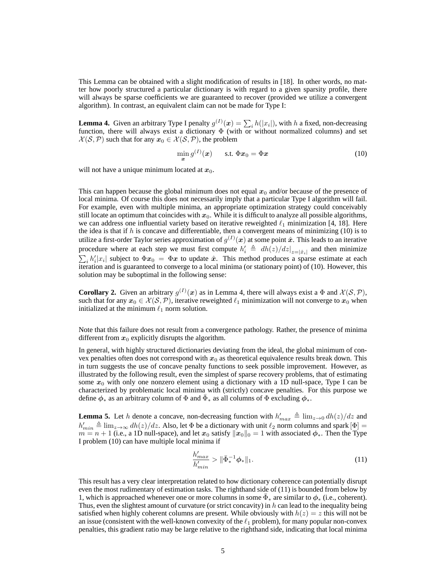This Lemma can be obtained with a slight modification of results in [18]. In other words, no matter how poorly structured a particular dictionary is with regard to a given sparsity profile, there will always be sparse coefficients we are guaranteed to recover (provided we utilize a convergent algorithm). In contrast, an equivalent claim can not be made for Type I:

**Lemma 4.** Given an arbitrary Type I penalty  $g^{(I)}(x) = \sum_i h(|x_i|)$ , with h a fixed, non-decreasing function, there will always exist a dictionary  $\Phi$  (with or without normalized columns) and set  $\mathcal{X}(\mathcal{S}, \mathcal{P})$  such that for any  $x_0 \in \mathcal{X}(\mathcal{S}, \mathcal{P})$ , the problem

$$
\min_{\boldsymbol{x}} g^{(I)}(\boldsymbol{x}) \qquad \text{s.t. } \Phi \boldsymbol{x}_0 = \Phi \boldsymbol{x} \tag{10}
$$

will not have a unique minimum located at  $x_0$ .

This can happen because the global minimum does not equal  $x_0$  and/or because of the presence of local minima. Of course this does not necessarily imply that a particular Type I algorithm will fail. For example, even with multiple minima, an appropriate optimization strategy could conceivably still locate an optimum that coincides with  $x_0$ . While it is difficult to analyze all possible algorithms, we can address one influential variety based on iterative reweighted  $\ell_1$  minimization [4, 18]. Here the idea is that if  $h$  is concave and differentiable, then a convergent means of minimizing (10) is to utilize a first-order Taylor series approximation of  $g^{(I)}(\bm{x})$  at some point  $\hat{\bm{x}}$ . This leads to an iterative procedure where at each step we must first compute  $h'_i \triangleq dh(z)/dz|_{z=|\hat{x}_i|}$  and then minimize  $\sum_i h'_i |x_i|$  subject to  $\Phi x_0 = \Phi x$  to update  $\hat{x}$ . This method produces a sparse estimate at each iteration and is guaranteed to converge to a local minima (or stationary point) of (10). However, this solution may be suboptimal in the following sense:

**Corollary 2.** Given an arbitrary  $g^{(1)}(x)$  as in Lemma 4, there will always exist a  $\Phi$  and  $\mathcal{X}(\mathcal{S}, \mathcal{P})$ , such that for any  $x_0 \in \mathcal{X}(\mathcal{S}, \mathcal{P})$ , iterative reweighted  $\ell_1$  minimization will not converge to  $x_0$  when initialized at the minimum  $\ell_1$  norm solution.

Note that this failure does not result from a convergence pathology. Rather, the presence of minima different from  $x_0$  explicitly disrupts the algorithm.

In general, with highly structured dictionaries deviating from the ideal, the global minimum of convex penalties often does not correspond with  $x_0$  as theoretical equivalence results break down. This in turn suggests the use of concave penalty functions to seek possible improvement. However, as illustrated by the following result, even the simplest of sparse recovery problems, that of estimating some  $x_0$  with only one nonzero element using a dictionary with a 1D null-space, Type I can be characterized by problematic local minima with (strictly) concave penalties. For this purpose we define  $\phi_*$  as an arbitrary column of  $\Phi$  and  $\bar{\Phi}_*$  as all columns of  $\Phi$  excluding  $\phi_*$ .

**Lemma 5.** Let h denote a concave, non-decreasing function with  $h'_{max} \triangleq \lim_{z\to 0} dh(z)/dz$  and  $h'_{min} \triangleq \lim_{z \to \infty} dh(z)/dz$ . Also, let  $\Phi$  be a dictionary with unit  $\ell_2$  norm columns and spark  $[\Phi] =$  $m = n + 1$  (i.e., a 1D null-space), and let  $x_0$  satisfy  $||x_0||_0 = 1$  with associated  $\phi_*$ . Then the Type I problem (10) can have multiple local minima if

$$
\frac{h'_{max}}{h'_{min}} > \|\bar{\Phi}_*^{-1}\phi_*\|_1.
$$
\n(11)

This result has a very clear interpretation related to how dictionary coherence can potentially disrupt even the most rudimentary of estimation tasks. The righthand side of (11) is bounded from below by 1, which is approached whenever one or more columns in some  $\bar{\Phi}_*$  are similar to  $\phi_*$  (i.e., coherent). Thus, even the slightest amount of curvature (or strict concavity) in  $h$  can lead to the inequality being satisfied when highly coherent columns are present. While obviously with  $h(z) = z$  this will not be an issue (consistent with the well-known convexity of the  $\ell_1$  problem), for many popular non-convex penalties, this gradient ratio may be large relative to the righthand side, indicating that local minima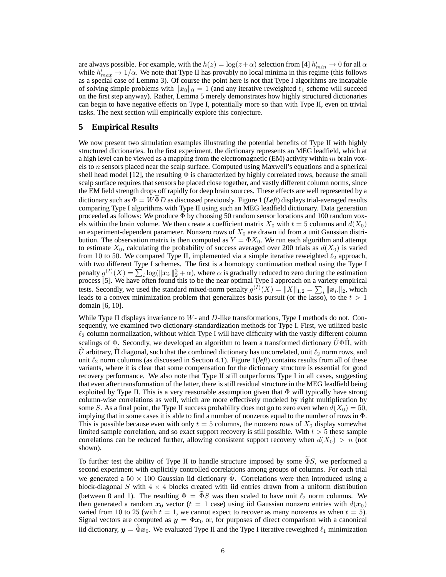are always possible. For example, with the  $h(z) = \log(z + \alpha)$  selection from [4]  $h'_{min} \to 0$  for all  $\alpha$ while  $h'_{max} \to 1/\alpha$ . We note that Type II has provably no local minima in this regime (this follows as a special case of Lemma 3). Of course the point here is not that Type I algorithms are incapable of solving simple problems with  $||x_0||_0 = 1$  (and any iterative reweighted  $\ell_1$  scheme will succeed on the first step anyway). Rather, Lemma 5 merely demonstrates how highly structured dictionaries can begin to have negative effects on Type I, potentially more so than with Type II, even on trivial tasks. The next section will empirically explore this conjecture.

# **5 Empirical Results**

We now present two simulation examples illustrating the potential benefits of Type II with highly structured dictionaries. In the first experiment, the dictionary represents an MEG leadfield, which at a high level can be viewed as a mapping from the electromagnetic (EM) activity within  $m$  brain voxels to n sensors placed near the scalp surface. Computed using Maxwell's equations and a spherical shell head model [12], the resulting  $\Phi$  is characterized by highly correlated rows, because the small scalp surface requires that sensors be placed close together, and vastly different column norms, since the EM field strength drops off rapidly for deep brain sources. These effects are well represented by a dictionary such as  $\Phi = W \Phi D$  as discussed previously. Figure 1 (*Left*) displays trial-averaged results comparing Type I algorithms with Type II using such an MEG leadfield dictionary. Data generation proceeded as follows: We produce  $\Phi$  by choosing 50 random sensor locations and 100 random voxels within the brain volume. We then create a coefficient matrix  $X_0$  with  $t = 5$  columns and  $d(X_0)$ an experiment-dependent parameter. Nonzero rows of  $X_0$  are drawn iid from a unit Gaussian distribution. The observation matrix is then computed as  $Y = \Phi X_0$ . We run each algorithm and attempt to estimate  $X_0$ , calculating the probability of success averaged over 200 trials as  $d(X_0)$  is varied from 10 to 50. We compared Type II, implemented via a simple iterative reweighted  $\ell_2$  approach, with two different Type I schemes. The first is a homotopy continuation method using the Type I penalty  $g^{(I)}(X) = \sum_i \log(\|\mathbf{x}_i\|_2^2 + \alpha)$ , where  $\alpha$  is gradually reduced to zero during the estimation process [5]. We have often found this to be the near optimal Type I approach on a variety empirical tests. Secondly, we used the standard mixed-norm penalty  $g^{(I)}(X) = ||X||_{1,2} = \sum_i ||x_i||_2$ , which leads to a convex minimization problem that generalizes basis pursuit (or the lasso), to the  $t > 1$ domain [6, 10].

While Type II displays invariance to  $W$ - and  $D$ -like transformations, Type I methods do not. Consequently, we examined two dictionary-standardization methods for Type I. First, we utilized basic  $\ell_2$  column normalization, without which Type I will have difficulty with the vastly different column scalings of  $\Phi$ . Secondly, we developed an algorithm to learn a transformed dictionary  $\bar{U}\Phi\Pi$ , with U arbitrary,  $\Pi$  diagonal, such that the combined dictionary has uncorrelated, unit  $\ell_2$  norm rows, and unit  $\ell_2$  norm columns (as discussed in Section 4.1). Figure  $1(left)$  contains results from all of these variants, where it is clear that some compensation for the dictionary structure is essential for good recovery performance. We also note that Type II still outperforms Type I in all cases, suggesting that even after transformation of the latter, there is still residual structure in the MEG leadfield being exploited by Type II. This is a very reasonable assumption given that  $\Phi$  will typically have strong column-wise correlations as well, which are more effectively modeled by right multiplication by some S. As a final point, the Type II success probability does not go to zero even when  $d(X_0) = 50$ , implying that in some cases it is able to find a number of nonzeros equal to the number of rows in Φ. This is possible because even with only  $t = 5$  columns, the nonzero rows of  $X_0$  display somewhat limited sample correlation, and so exact support recovery is still possible. With  $t > 5$  these sample correlations can be reduced further, allowing consistent support recovery when  $d(X_0) > n$  (not shown).

To further test the ability of Type II to handle structure imposed by some  $\Phi S$ , we performed a second experiment with explicitly controlled correlations among groups of columns. For each trial we generated a  $50 \times 100$  Gaussian iid dictionary  $\Phi$ . Correlations were then introduced using a block-diagonal S with  $4 \times 4$  blocks created with iid entries drawn from a uniform distribution (between 0 and 1). The resulting  $\Phi = \tilde{\Phi} S$  was then scaled to have unit  $\ell_2$  norm columns. We then generated a random  $x_0$  vector ( $t = 1$  case) using iid Gaussian nonzero entries with  $d(x_0)$ varied from 10 to 25 (with  $t = 1$ , we cannot expect to recover as many nonzeros as when  $t = 5$ ). Signal vectors are computed as  $y = \Phi x_0$  or, for purposes of direct comparison with a canonical iid dictionary,  $y = \tilde{\Phi}x_0$ . We evaluated Type II and the Type I iterative reweighted  $\ell_1$  minimization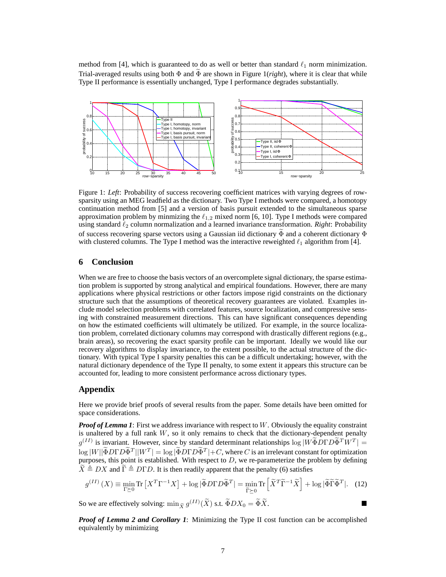method from [4], which is guaranteed to do as well or better than standard  $\ell_1$  norm minimization. Trial-averaged results using both  $\Phi$  and  $\Phi$  are shown in Figure 1(*right*), where it is clear that while Type II performance is essentially unchanged, Type I performance degrades substantially.



Figure 1: *Left*: Probability of success recovering coefficient matrices with varying degrees of rowsparsity using an MEG leadfield as the dictionary. Two Type I methods were compared, a homotopy continuation method from [5] and a version of basis pursuit extended to the simultaneous sparse approximation problem by minmizing the  $\ell_{1,2}$  mixed norm [6, 10]. Type I methods were compared using standard ℓ<sup>2</sup> column normalization and a learned invariance transformation. *Right*: Probability of success recovering sparse vectors using a Gaussian iid dictionary  $\Phi$  and a coherent dictionary  $\Phi$ with clustered columns. The Type I method was the interactive reweighted  $\ell_1$  algorithm from [4].

# **6 Conclusion**

When we are free to choose the basis vectors of an overcomplete signal dictionary, the sparse estimation problem is supported by strong analytical and empirical foundations. However, there are many applications where physical restrictions or other factors impose rigid constraints on the dictionary structure such that the assumptions of theoretical recovery guarantees are violated. Examples include model selection problems with correlated features, source localization, and compressive sensing with constrained measurement directions. This can have significant consequences depending on how the estimated coefficients will ultimately be utilized. For example, in the source localization problem, correlated dictionary columns may correspond with drastically different regions (e.g., brain areas), so recovering the exact sparsity profile can be important. Ideally we would like our recovery algorithms to display invariance, to the extent possible, to the actual structure of the dictionary. With typical Type I sparsity penalties this can be a difficult undertaking; however, with the natural dictionary dependence of the Type II penalty, to some extent it appears this structure can be accounted for, leading to more consistent performance across dictionary types.

# **Appendix**

Here we provide brief proofs of several results from the paper. Some details have been omitted for space considerations.

*Proof of Lemma 1*: First we address invariance with respect to W. Obviously the equality constraint is unaltered by a full rank W, so it only remains to check that the dictionary-dependent penalty  $g^{(II)}$  is invariant. However, since by standard determinant relationships  $\log |W\tilde{\Phi}D\Gamma D\tilde{\Phi}^T W^T|$  =  $\log |W| |\tilde{\Phi} D \Gamma D \tilde{\Phi}^T| |W^T| = \log |\tilde{\Phi} D \Gamma D \tilde{\Phi}^T| + C$ , where C is an irrelevant constant for optimization purposes, this point is established. With respect to D, we re-parameterize the problem by defining  $\widetilde{X} \triangleq DX$  and  $\widetilde{\Gamma} \triangleq D\Gamma D$ . It is then readily apparent that the penalty (6) satisfies

$$
g^{(II)}\left(X\right) \equiv \min_{\Gamma \succeq 0} \text{Tr}\left[X^T \Gamma^{-1} X\right] + \log\left|\widetilde{\Phi} D \Gamma D \widetilde{\Phi}^T\right| = \min_{\widetilde{\Gamma} \succeq 0} \text{Tr}\left[\widetilde{X}^T \widetilde{\Gamma}^{-1} \widetilde{X}\right] + \log\left|\widetilde{\Phi} \widetilde{\Gamma} \widetilde{\Phi}^T\right|.\tag{12}
$$

So we are effectively solving:  $\min_{\tilde{X}} g^{(II)}(\tilde{X})$  s.t.  $\tilde{\Phi}DX_0 = \tilde{\Phi}\tilde{X}$ .

*Proof of Lemma 2 and Corollary 1*: Minimizing the Type II cost function can be accomplished equivalently by minimizing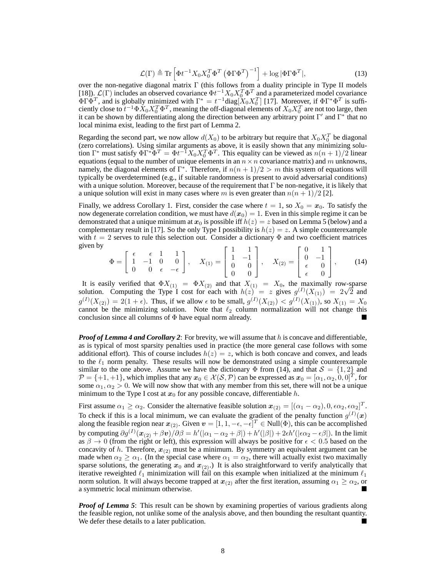$$
\mathcal{L}(\Gamma) \triangleq \text{Tr}\left[\Phi t^{-1} X_0 X_0^T \Phi^T \left(\Phi \Gamma \Phi^T\right)^{-1}\right] + \log |\Phi \Gamma \Phi^T|,\tag{13}
$$

over the non-negative diagonal matrix Γ (this follows from a duality principle in Type II models [18]).  $\mathcal{L}(\Gamma)$  includes an observed covariance  $\Phi t^{-1} X_0 X_0^T \Phi^T$  and a parameterized model covariance  $\Phi \Gamma \Phi^T$ , and is globally minimized with  $\Gamma^* = t^{-1} \text{diag}[X_0 X_0^T]$  [17]. Moreover, if  $\Phi \Gamma^* \Phi^T$  is sufficiently close to  $t^{-1} \Phi X_0 X_0^T \Phi^T$ , meaning the off-diagonal elements of  $X_0 X_0^T$  are not too large, then it can be shown by differentiating along the direction between any arbitrary point  $\Gamma'$  and  $\Gamma^*$  that no local minima exist, leading to the first part of Lemma 2.

Regarding the second part, we now allow  $d(X_0)$  to be arbitrary but require that  $X_0X_0^T$  be diagonal (zero correlations). Using similar arguments as above, it is easily shown that any minimizing solution  $\Gamma^*$  must satisfy  $\Phi \Gamma^* \Phi^T = \Phi t^{-1} X_0 X_0^T \Phi^T$ . This equality can be viewed as  $n(n+1)/2$  linear equations (equal to the number of unique elements in an  $n \times n$  covariance matrix) and m unknowns, namely, the diagonal elements of  $\Gamma^*$ . Therefore, if  $n(n + 1)/2 > m$  this system of equations will typically be overdetermined (e.g., if suitable randomness is present to avoid adversarial conditions) with a unique solution. Moreover, because of the requirement that  $\Gamma$  be non-negative, it is likely that a unique solution will exist in many cases where m is even greater than  $n(n + 1)/2$  [2].

Finally, we address Corollary 1. First, consider the case where  $t = 1$ , so  $X_0 = x_0$ . To satisfy the now degenerate correlation condition, we must have  $d(x_0) = 1$ . Even in this simple regime it can be demonstrated that a unique minimum at  $x_0$  is possible iff  $h(z) = z$  based on Lemma 5 (below) and a complementary result in [17]. So the only Type I possibility is  $h(z) = z$ . A simple counterexample with  $t = 2$  serves to rule this selection out. Consider a dictionary  $\Phi$  and two coefficient matrices given by

$$
\Phi = \begin{bmatrix} \epsilon & \epsilon & 1 & 1 \\ 1 & -1 & 0 & 0 \\ 0 & 0 & \epsilon & -\epsilon \end{bmatrix}, \quad X_{(1)} = \begin{bmatrix} 1 & 1 \\ 1 & -1 \\ 0 & 0 \\ 0 & 0 \end{bmatrix}, \quad X_{(2)} = \begin{bmatrix} 0 & 1 \\ 0 & -1 \\ \epsilon & 0 \\ \epsilon & 0 \end{bmatrix}, \tag{14}
$$

It is easily verified that  $\Phi X_{(1)} = \Phi X_{(2)}$  and that  $X_{(1)} = X_0$ , the maximally row-sparse solution. Computing the Type I cost for each with  $h(z) = z$  gives  $g^{(I)}(X_{(1)}) = 2\sqrt{2}$  and  $g^{(I)}(X_{(2)}) = 2(1 + \epsilon)$ . Thus, if we allow  $\epsilon$  to be small,  $g^{(I)}(X_{(2)}) < g^{(I)}(X_{(1)})$ , so  $X_{(1)} = X_0$ cannot be the minimizing solution. Note that  $\ell_2$  column normalization will not change this conclusion since all columns of Φ have equal norm already.

*Proof of Lemma 4 and Corollary 2*: For brevity, we will assume that h is concave and differentiable, as is typical of most sparsity penalties used in practice (the more general case follows with some additional effort). This of course includes  $h(z) = z$ , which is both concave and convex, and leads to the  $\ell_1$  norm penalty. These results will now be demonstrated using a simple counterexample similar to the one above. Assume we have the dictionary  $\Phi$  from (14), and that  $S = \{1, 2\}$  and  $\mathcal{P} = \{+1, +1\}$ , which implies that any  $x_0 \in \mathcal{X}(\mathcal{S}, \mathcal{P})$  can be expressed as  $x_0 = [\alpha_1, \alpha_2, 0, 0]^T$ , for some  $\alpha_1, \alpha_2 > 0$ . We will now show that with any member from this set, there will not be a unique minimum to the Type I cost at  $x_0$  for any possible concave, differentiable h.

First assume  $\alpha_1 \ge \alpha_2$ . Consider the alternative feasible solution  $\boldsymbol{x}_{(2)} = [(\alpha_1 - \alpha_2), 0, \epsilon \alpha_2, \epsilon \alpha_2]^T$ . To check if this is a local minimum, we can evaluate the gradient of the penalty function  $g^{(I)}(x)$ along the feasible region near  $x_{(2)}$ . Given  $v = [1, 1, -\epsilon, -\epsilon]^T \in Null(\Phi)$ , this can be accomplished by computing  $\partial g^{(1)}(\mathbf{x}_{(2)} + \beta \mathbf{v})/\partial \beta = h'(|\alpha_1 - \alpha_2 + \beta|) + h'(|\beta|) + 2\epsilon h'(|\epsilon \alpha_2 - \epsilon \beta|)$ . In the limit as  $\beta \to 0$  (from the right or left), this expression will always be positive for  $\epsilon < 0.5$  based on the concavity of h. Therefore,  $x_{(2)}$  must be a minimum. By symmetry an equivalent argument can be made when  $\alpha_2 \ge \alpha_1$ . (In the special case where  $\alpha_1 = \alpha_2$ , there will actually exist two maximally sparse solutions, the generating  $x_0$  and  $x_{(2)}$ .) It is also straightforward to verify analytically that iterative reweighted  $\ell_1$  minimization will fail on this example when initialized at the minimum  $\ell_1$ norm solution. It will always become trapped at  $x_{(2)}$  after the first iteration, assuming  $\alpha_1 \ge \alpha_2$ , or a symmetric local minimum otherwise a symmetric local minimum otherwise.

*Proof of Lemma 5*: This result can be shown by examining properties of various gradients along the feasible region, not unlike some of the analysis above, and then bounding the resultant quantity. We defer these details to a later publication.